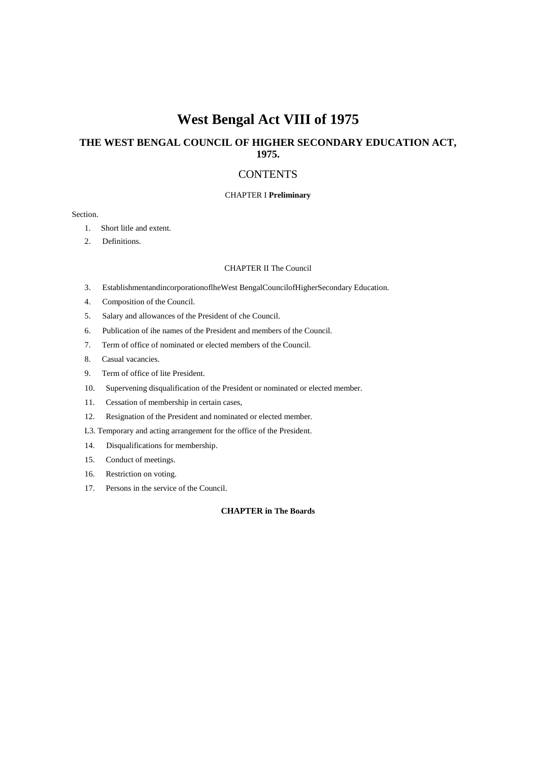# **West Bengal Act VIII of 1975**

# **THE WEST BENGAL COUNCIL OF HIGHER SECONDARY EDUCATION ACT, 1975.**

# **CONTENTS**

#### CHAPTER I **Preliminary**

# Section.

- 1. Short litle and extent.
- 2. Definitions.

### CHAPTER II The Council

- 3. EstablishmentandincorporationoflheWest BengalCouncilofHigherSecondary Education.
- 4. Composition of the Council.
- 5. Salary and allowances of the President of che Council.
- 6. Publication of ihe names of the President and members of the Council.
- 7. Term of office of nominated or elected members of the Council.
- 8. Casual vacancies.
- 9. Term of office of lite President.
- 10. Supervening disqualification of the President or nominated or elected member.
- 11. Cessation of membership in certain cases,
- 12. Resignation of the President and nominated or elected member.
- L3. Temporary and acting arrangement for the office of the President.
- 14. Disqualifications for membership.
- 15. Conduct of meetings.
- 16. Restriction on voting.
- 17. Persons in the service of the Council.

# **CHAPTER in The Boards**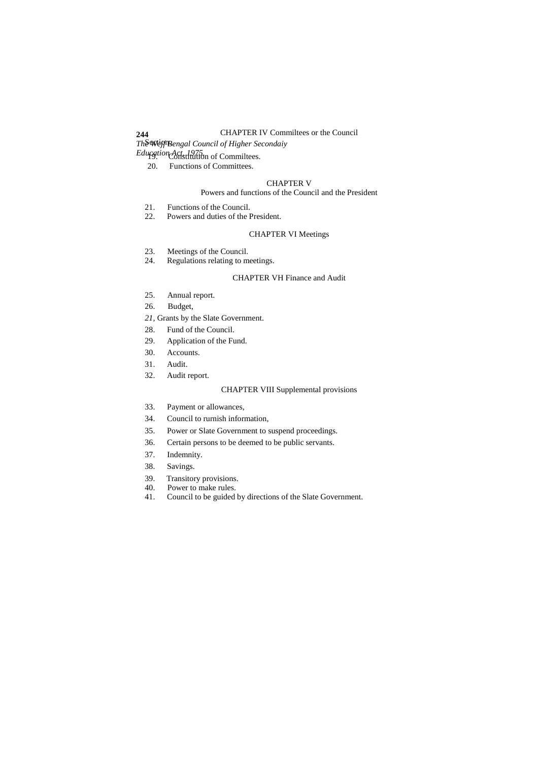# CHAPTER IV Commiltees or the Council

*The Wcjf Bengal Council of Higher Secondaiy* Section.

Education Act, 1975.<br> **Education Constitution of Commiltees.** 

**244**

20. Functions of Committees.

#### CHAPTER V

#### Powers and functions of the Council and the President

- 21. Functions of the Council.<br>22. Powers and duties of the I
- Powers and duties of the President.

# CHAPTER VI Meetings

- 23. Meetings of the Council.
- 24. Regulations relating to meetings.

### CHAPTER VH Finance and Audit

- 25. Annual report.
- 26. Budget,
- *21,* Grants by the Slate Government.
- 28. Fund of the Council.
- 29. Application of the Fund.
- 30. Accounts.
- 31. Audit.
- 32. Audit report.

# CHAPTER VIII Supplemental provisions

- 33. Payment or allowances,
- 34. Council to rurnish information,
- 35. Power or Slate Government to suspend proceedings.
- 36. Certain persons to be deemed to be public servants.
- 37. Indemnity.
- 38. Savings.
- 39. Transitory provisions.
- 40. Power to make rules.
- 41. Council to be guided by directions of the Slate Government.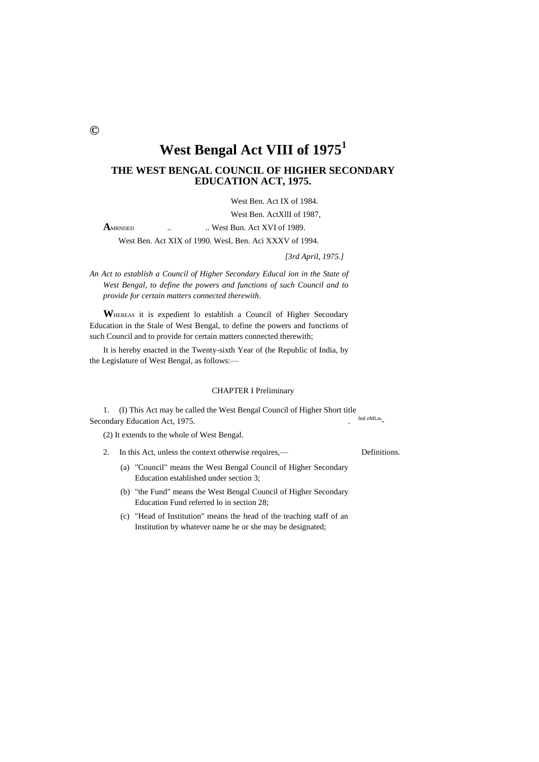**©**

# **West Bengal Act VIII of 1975<sup>1</sup>**

# **THE WEST BENGAL COUNCIL OF HIGHER SECONDARY EDUCATION ACT, 1975.**

West Ben. Act IX of 1984. West Ben. ActXllI of 1987,

**A**MRNDED ... ... West Bun. Act XVI of 1989.

West Ben. Act XIX of 1990. WesL Ben. Aci XXXV of 1994.

*[3rd April, 1975.]*

*An Act to establish a Council of Higher Secondary Educal ion in the State of West Bengal, to define the powers and functions of such Council and to provide for certain matters connected therewith.*

**W**HEREAS it is expedient lo establish a Council of Higher Secondary Education in the Stale of West Bengal, to define the powers and functions of such Council and to provide for certain matters connected therewith;

It is hereby enacted in the Twenty-sixth Year of (he Republic of India, by the Legislature of West Bengal, as follows:—

#### CHAPTER I Preliminary

1. (I) This Act may be called the West Bengal Council of Higher Short title Secondary Education Act, 1975. Jml eMLn'-

(2) It extends to the whole of West Bengal.

- 2. In this Act, unless the context otherwise requires,— Definitions.
	- (a) "Council" means the West Bengal Council of Higher Secondary Education established under section 3;
	- (b) "the Fund" means the West Bengal Council of Higher Secondary Education Fund referred lo in section 28;
	- (c) "Head of Institution" means the head of the teaching staff of an Institution by whatever name he or she may be designated;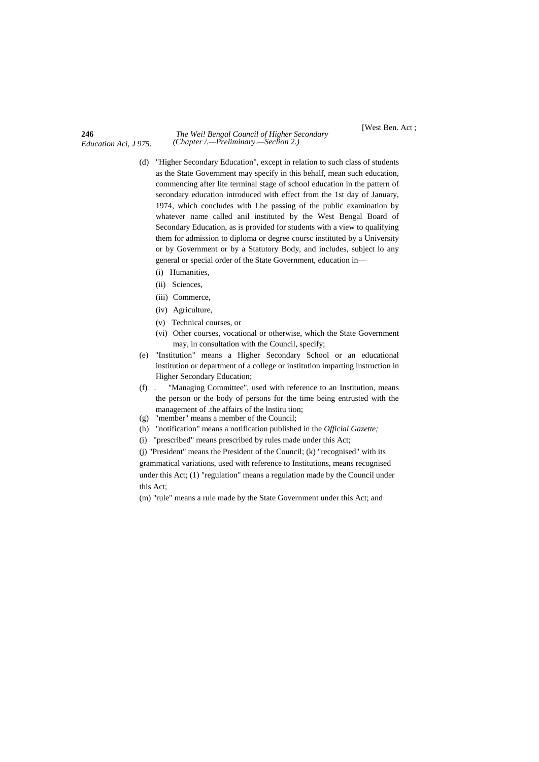**246** *The Wei! Bengal Council of Higher Secondary (Chapter /.—Preliminary.—Seclion 2.)*

[West Ben. Act ;

- (d) "Higher Secondary Education", except in relation to such class of students as the State Government may specify in this behalf, mean such education, commencing after lite terminal stage of school education in the pattern of secondary education introduced with effect from the 1st day of January, 1974, which concludes with Lhe passing of the public examination by whatever name called anil instituted by the West Bengal Board of Secondary Education, as is provided for students with a view to qualifying them for admission to diploma or degree coursc instituted by a University or by Government or by a Statutory Body, and includes, subject lo any general or special order of the State Government, education in—
	- (i) Humanities,
	- (ii) Sciences,
	- (iii) Commerce,
	- (iv) Agriculture,
	- (v) Technical courses, or
	- (vi) Other courses, vocational or otherwise, which the State Government may, in consultation with the Council, specify;
- (e) "Institution" means a Higher Secondary School or an educational institution or department of a college or institution imparting instruction in Higher Secondary Education;
- (f) . "Managing Committee", used with reference to an Institution, means the person or the body of persons for the time being entrusted with the management of .the affairs of the lnstitu tion;
- (g) "member" means a member of the Council;
- (h) "notification" means a notification published in the *Official Gazette;*
- (i) "prescribed" means prescribed by rules made under this Act;

(j) "President" means the President of the Council; (k) "recognised" with its grammatical variations, used with reference to Institutions, means recognised under this Act; (1) "regulation" means a regulation made by the Council under this Act;

(m) "rule" means a rule made by the State Government under this Act; and

# *Education Aci, J 975.*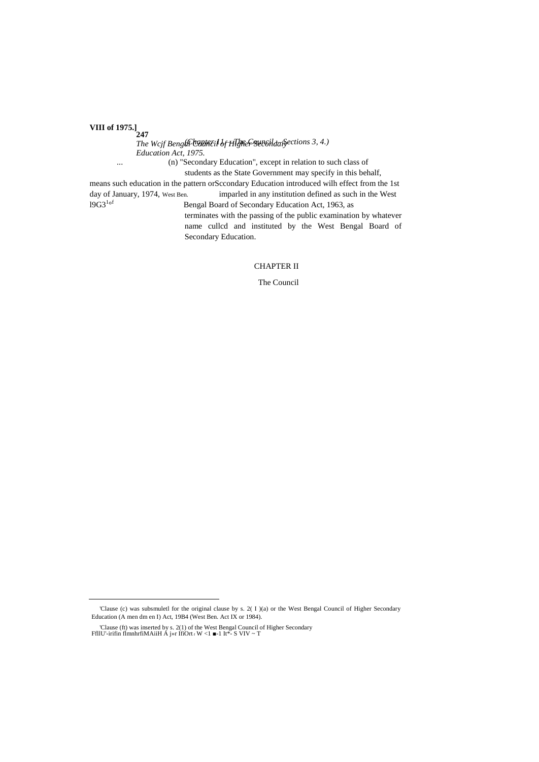VIII of 1975.]<sub>247</sub>

The Wcjf Benght Contacil of HIghes sunsiliarisections 3, 4.) Education Act, 1975. (n) "Secondary Education", except in relation to such class of  $\dddotsc$ students as the State Government may specify in this behalf, means such education in the pattern orSccondary Education introduced wilh effect from the 1st day of January, 1974, West Ben. imparled in any institution defined as such in the West  $19G3^{1 \circ f}$ Bengal Board of Secondary Education Act, 1963, as terminates with the passing of the public examination by whatever name cullcd and instituted by the West Bengal Board of Secondary Education.

**CHAPTER II** 

The Council

<sup>&#</sup>x27;Clause (c) was subsmuletl for the original clause by s. 2( I )(a) or the West Bengal Council of Higher Secondary Education (A men dm en I) Act, 19B4 (West Ben. Act IX or 1984).

<sup>&#</sup>x27;Clause (ft) was inserted by s. 2(1) of the West Bengal Council of Higher Secondary FflIU'-irifin flmnhrfiMAiiH A j»r IfiOrt  $t$  W <1  $\blacksquare$ - 1 It\*- S VIV ~ T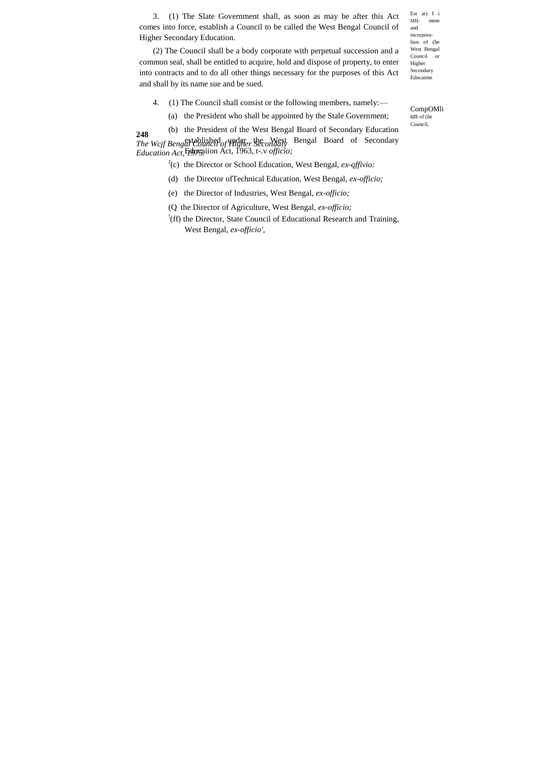3. (1) The Slate Government shall, as soon as may be after this Act comes into force, establish a Council to be called the West Bengal Council of Higher Secondary Education.

(2) The Council shall be a body corporate with perpetual succession and a common seal, shall be entitled to acquire, hold and dispose of property, to enter into contracts and to do all other things necessary for the purposes of this Act and shall by its name sue and be sued.

Est at) I i<br>MII- mem mem and incorporalion of (he West Bengal Council or Higher Secondary Educaimn

- 4. (1) The Council shall consist or the following members, namely:—
	- (a) the President who shall be appointed by the Stale Government;

**248** *The Wcjf Bengal Council of Higher Secondaiy Education Act, 1975.* (b) the President of the West Bengal Board of Secondary Education established under the West Bengal Board of Secondary Educaiion Act, 1963, t-.v *officio;*

- <sup>J</sup>(c) the Director or School Education, West Bengal, *ex-qffivio*:
- (d) the Director ofTechnical Education, West Bengal, *ex-officio;*
- (e) the Director of Industries, West Bengal, *ex-officio;*
- (Q the Director of Agriculture, West Bengal, *ex-officio;*
- ! (ff) the Director, State Council of Educational Research and Training, West Bengal, *ex-officio',*

CompOMli un of (lie Council,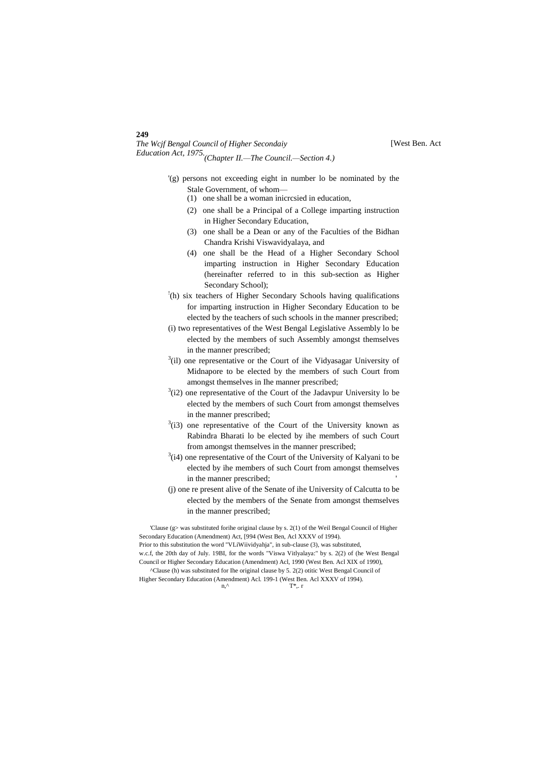# *The Wcjf Bengal Council of Higher Secondaiy Education Act, 1975. (Chapter II.—The Council.—Section 4.)*

**249**

- '(g) persons not exceeding eight in number lo be nominated by the Stale Government, of whom—
	- (1) one shall be a woman inicrcsied in education,
	- (2) one shall be a Principal of a College imparting instruction in Higher Secondary Education,
	- (3) one shall be a Dean or any of the Faculties of the Bidhan Chandra Krishi Viswavidyalaya, and
	- (4) one shall be the Head of a Higher Secondary School imparting instruction in Higher Secondary Education (hereinafter referred to in this sub-section as Higher Secondary School);
- ! (h) six teachers of Higher Secondary Schools having qualifications for imparting instruction in Higher Secondary Education to be elected by the teachers of such schools in the manner prescribed;
- (i) two representatives of the West Bengal Legislative Assembly lo be elected by the members of such Assembly amongst themselves in the manner prescribed;
- $3$ (il) one representative or the Court of ihe Vidyasagar University of Midnapore to be elected by the members of such Court from amongst themselves in Ihe manner prescribed;
- $3(i2)$  one representative of the Court of the Jadavpur University lo be elected by the members of such Court from amongst themselves in the manner prescribed;
- $3$ (i3) one representative of the Court of the University known as Rabindra Bharati lo be elected by ihe members of such Court from amongst themselves in the manner prescribed;
- $3$ (i4) one representative of the Court of the University of Kalyani to be elected by ihe members of such Court from amongst themselves in the manner prescribed;
- (j) one re present alive of the Senate of ihe University of Calcutta to be elected by the members of the Senate from amongst themselves in the manner prescribed;

'Clause (g> was substituted forihe original clause by s. 2(1) of the Weil Bengal Council of Higher Secondary Education (Amendment) Act, [994 (West Ben, Acl XXXV of 1994). Prior to this substitution the word "VLiWiividyahja", in sub-clause (3), was substituted, w.c.f, the 20th day of July. 19BI, for the words "Viswa Vitlyalaya:" by s. 2(2) of (he West Bengal Council or Higher Secondary Education (Amendment) Acl, 1990 (West Ben. Acl XIX of 1990), ^Clause (h) was substituted for Ihe original clause by 5. 2(2) otitic West Bengal Council of

Higher Secondary Education (Amendment) Acl. 199-1 (West Ben. Acl XXXV of 1994).  $n,^{\wedge}$  T<sup>\*</sup>,. r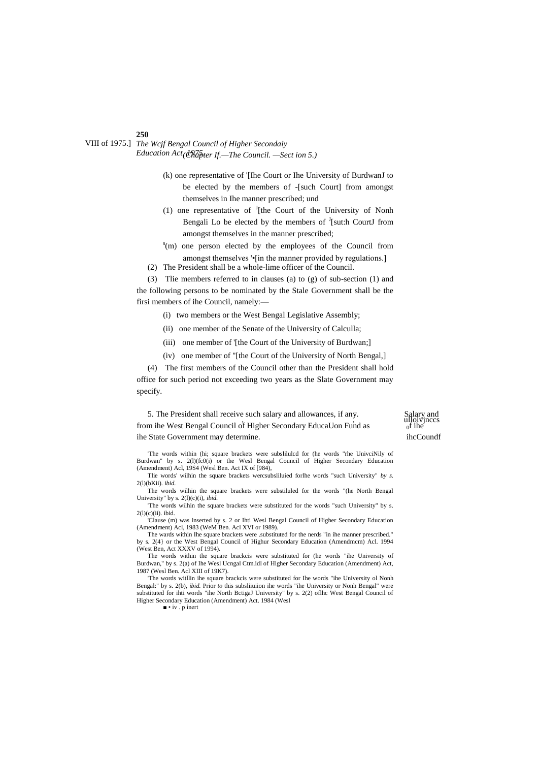*The Wcjf Bengal Council of Higher Secondaiy* VIII of 1975.] *Education Act, 1975. (Chapter If.—The Council. —Sect ion 5.)*

- (k) one representative of '[Ihe Court or Ihe University of BurdwanJ to be elected by the members of -[such Court] from amongst themselves in Ihe manner prescribed; und
- (1) one representative of  $J$ [the Court of the University of Nonh Bengali Lo be elected by the members of  $J$ [sut:h CourtJ from amongst themselves in the manner prescribed;
- s (m) one person elected by the employees of the Council from amongst themselves '•[in the manner provided by regulations.]
- (2) The President shall be a whole-lime officer of the Council.

(3) Tlie members referred to in clauses (a) to (g) of sub-section (1) and the following persons to be nominated by the Stale Government shall be the firsi members of ihe Council, namely:—

- (i) two members or the West Bengal Legislative Assembly;
- (ii) one member of the Senate of the University of Calculla;
- (iii) one member of '[the Court of the University of Burdwan;]
- (iv) one member of "[the Court of the University of North Bengal,]

(4) The first members of the Council other than the President shall hold office for such period not exceeding two years as the Slate Government may specify.

5. The President shall receive such salary and allowances, if any. , , ulloivjnccs from ihe West Bengal Council of Higher Secondary EducaUon Fund as <sup>0</sup> ihe State Government may determine. ihcCoundf

Salary and<br>ulloivinces<br> $\int_0^t$  ihe

'The words within (hi; square brackets were subslilulcd for (he words "rhe UnivciNily of Burdwan" by s. 2(l)(fc0(i) or the Wesl Bengal Council of Higher Secondary Education (Amendment) Acl, 19S4 (Wesl Ben. Act IX of [984),

Tlie words' wilhin the square brackets wercsubsliluied forlhe words "such University" *by s.* 2(l)(bKii). *ibid.*

The words wilhin the square brackets were substiluled for the words "(he North Bengal University" by s. 2(l)(c)(i), *ibid.*

'The words wilhin the square brackets were substituted for the words "such University" by s. 2(l)(c)(ii). ibid.

'Clause (m) was inserted by s. 2 or Ihti Wesl Bengal Council of Higher Secondary Education (Amendment) Acl, 1983 (WeM Ben. Acl XVI or 1989).

The wards within Ihe square brackets were .substituted for the nerds "in ihe manner prescribed." by s. 2(4} or the West Bengal Council of Highur Secondary Education (Amendmcm) Acl. 1994 (West Ben, Act XXXV of 1994).

The words within the square brackcis were substituted for (he words "ihe University of Burdwan," by s. 2(a) of Ihe Wesl Ucngal Ctm.idl of Higher Secondary Education (Amendment) Act, 1987 (Wesl Ben. Acl XIII of 19K7).

'The words witllin ihe square brackcis were substituted for Ihe words "ihe University ol Nonh Bengal:" by s. 2(b), *ibid.* Prior *to* this subsliiuiion ihe words "ihe University or Nonh Bengal" were substituted for ihti words "ihe North BctigaJ University" by s. 2(2) oflhc West Bengal Council of Higher Secondary Education (Amendment) Act. 1984 (Wesl

■ • iv . p inert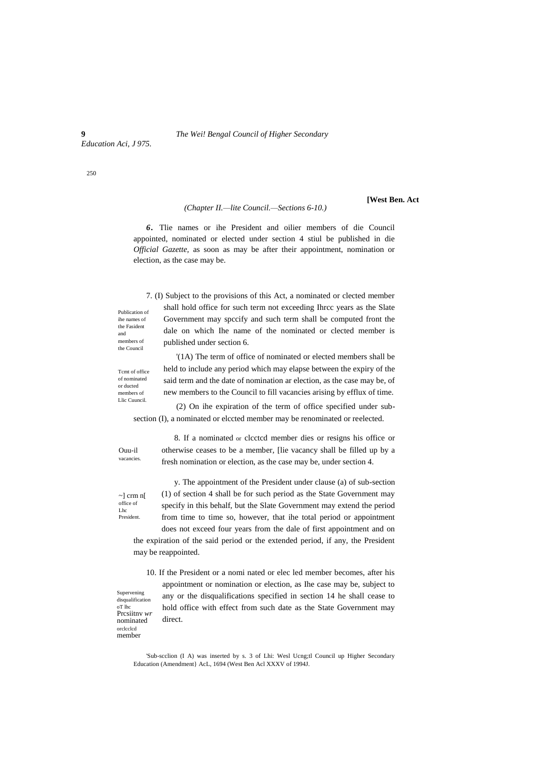**9** *The Wei! Bengal Council of Higher Secondary*

*Education Aci, J 975.*

250

#### *(Chapter II.—lite Council.—Sections 6-10.)*

**[West Ben. Act**

*6.* Tlie names or ihe President and oilier members of die Council appointed, nominated or elected under section 4 stiul be published in die *Official Gazette,* as soon as may be after their appointment, nomination or election, as the case may be.

7. (I) Subject to the provisions of this Act, a nominated or clected member shall hold office for such term not exceeding Ihrcc years as the Slate Government may spccify and such term shall be computed front the dale on which Ihe name of the nominated or clected member is published under section 6.

Tcmt of office of nominated or ducted members of Llic Cuuncil.

Publication of ihe names of the Fasident and members of the Council

> '(1A) The term of office of nominated or elected members shall be held to include any period which may elapse between the expiry of the said term and the date of nomination ar election, as the case may be, of new members to the Council to fill vacancies arising by efflux of time.

(2) On ihe expiration of the term of office specified under subsection (I), a nominated or elccted member may be renominated or reelected.

Ouu-il vacancies.

~] crm n[ office of Lhc

President.

otherwise ceases to be a member, [lie vacancy shall be filled up by a fresh nomination or election, as the case may be, under section 4. y. The appointment of the President under clause (a) of sub-section

8. If a nominated or clcctcd member dies or resigns his office or

(1) of section 4 shall be for such period as the State Government may specify in this behalf, but the Slate Government may extend the period from time to time so, however, that ihe total period or appointment does not exceed four years from the dale of first appointment and on the expiration of the said period or the extended period, if any, the President may be reappointed.

10. If the President or a nomi nated or elec led member becomes, after his appointment or nomination or election, as Ihe case may be, subject to any or the disqualifications specified in section 14 he shall cease to hold office with effect from such date as the State Government may direct.

Supervening disqualification oT lhc Prcsiitnv *wr*  nominated orclcclcd member

> 'Sub-scclion (I A) was inserted by s. 3 of Lhi: Wesl Ucng;tl Council up Higher Secondary Education (Amendment} AcL, 1694 (West Ben Acl XXXV of 1994J.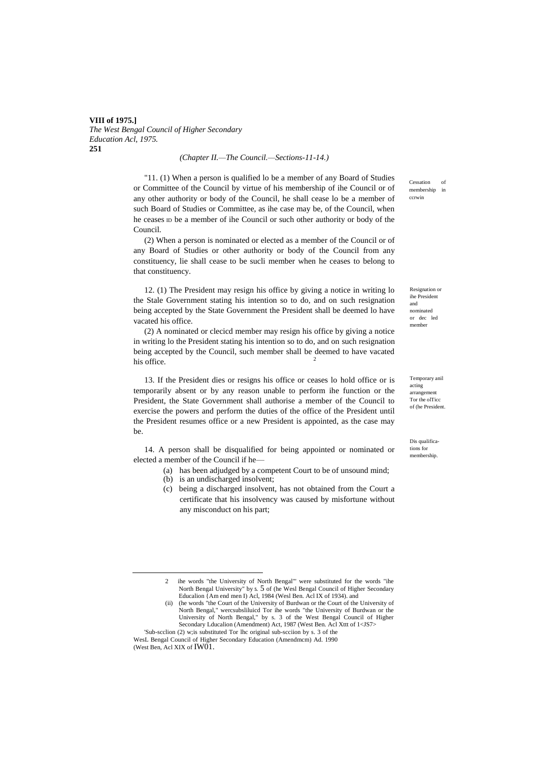**VIII of 1975.]** *The West Bengal Council of Higher Secondary Education Acl, 1975.* **251**

#### *(Chapter II.—The Council.—Sections-11-14.)*

"11. (1) When a person is qualified lo be a member of any Board of Studies or Committee of the Council by virtue of his membership of ihe Council or of any other authority or body of the Council, he shall cease lo be a member of such Board of Studies or Committee, as ihe case may be, of the Council, when he ceases ID be a member of ihe Council or such other authority or body of the Council.

(2) When a person is nominated or elected as a member of the Council or of any Board of Studies or other authority or body of the Council from any constituency, lie shall cease to be sucli member when he ceases to belong to that constituency.

12. (1) The President may resign his office by giving a notice in writing lo the Stale Government stating his intention so to do, and on such resignation being accepted by the State Government the President shall be deemed lo have vacated his office.

(2) A nominated or clecicd member may resign his office by giving a notice in writing lo the President stating his intention so to do, and on such resignation being accepted by the Council, such member shall be deemed to have vacated his office.

13. If the President dies or resigns his office or ceases lo hold office or is temporarily absent or by any reason unable to perform ihe function or the President, the State Government shall authorise a member of the Council to exercise the powers and perform the duties of the office of the President until the President resumes office or a new President is appointed, as the case may be.

14. A person shall be disqualified for being appointed or nominated or elected a member of the Council if he—

- (a) has been adjudged by a competent Court to be of unsound mind;
	- (b) is an undischarged insolvent;

<u>.</u>

(c) being a discharged insolvent, has not obtained from the Court a certificate that his insolvency was caused by misfortune without any misconduct on his part;

Cessation membership in ccrwin

Resignation or ihe President and nominated or dec led member

Temporary anil acting arrangement Tor the olTicc of (he President.

Dis qualifications for membership.

<sup>2</sup> ihe words "the University of North Bengal"' were substituted for the words "ihe North Bengal University" by **5.** 5 of (he Wesl Bengal Council of Higher Secondary Educalion {Am end men I) Acl, 1984 (Wesl Ben. Acl IX of 1934). and

<sup>(</sup>ii) (he words "the Court of the University of Burdwan or the Court of the University of North Bengal," wercsubsliluicd Tor ihe words "the University of Burdwan or the University of North Bengal," by s. 3 of the West Bengal Council of Higher Secondary Lducalion (Amendment) Act, 1987 (West Ben. Acl Xttt of 1<JS7>

<sup>&#</sup>x27;Sub-scclion (2) w;is substituted Tor lhc original sub-scciion by s. 3 of the WesL Bengal Council of Higher Secondary Education (Amendmcm) Ad. 1990 (West Ben, Acl XIX of IW01.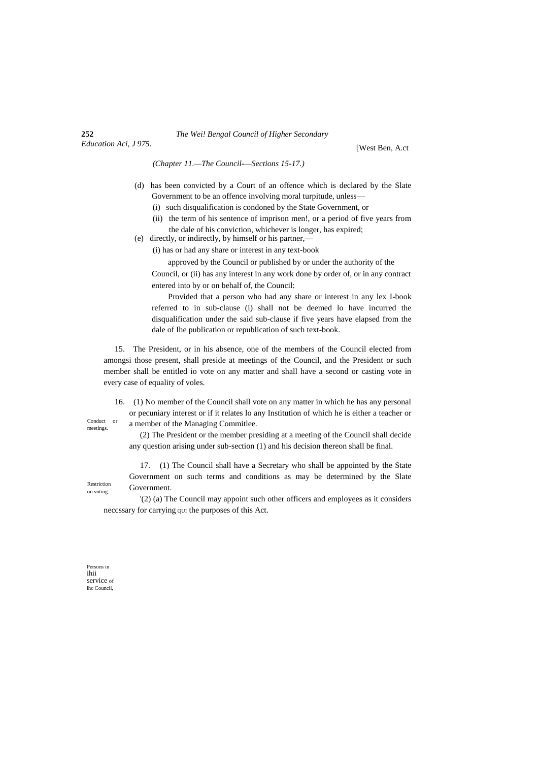#### **252** *The Wei! Bengal Council of Higher Secondary*

[West Ben, A.ct

*(Chapter 11.—The Council-—Sections 15-17.)*

- (d) has been convicted by a Court of an offence which is declared by the Slate Government to be an offence involving moral turpitude, unless—
	- (i) such disqualification is condoned by the State Government, or
	- (ii) the term of his sentence of imprison men!, or a period of five years from the dale of his conviction, whichever is longer, has expired;
- (e) directly, or indirectly, by himself or his partner,—

(i) has or had any share or interest in any text-book

approved by the Council or published by or under the authority of the Council, or (ii) has any interest in any work done by order of, or in any contract entered into by or on behalf of, the Council:

Provided that a person who had any share or interest in any lex I-book referred to in sub-clause (i) shall not be deemed lo have incurred the disqualification under the said sub-clause if five years have elapsed from the dale of Ihe publication or republication of such text-book.

15. The President, or in his absence, one of the members of the Council elected from amongsi those present, shall preside at meetings of the Council, and the President or such member shall be entitled io vote on any matter and shall have a second or casting vote in every case of equality of voles.

16. (1) No member of the Council shall vote on any matter in which he has any personal or pecuniary interest or if it relates lo any Institution of which he is either a teacher or a member of the Managing Commitlee.

Conduct or meetings.

(2) The President or the member presiding at a meeting of the Council shall decide any question arising under sub-section (1) and his decision thereon shall be final.

17. (1) The Council shall have a Secretary who shall be appointed by the State Government on such terms and conditions as may be determined by the Slate Government.

'(2) (a) The Council may appoint such other officers and employees as it considers neccssary for carrying QUI the purposes of this Act.

Persons in ihii service of lhc Council,

Restriction on voting.

*Education Aci, J 975.*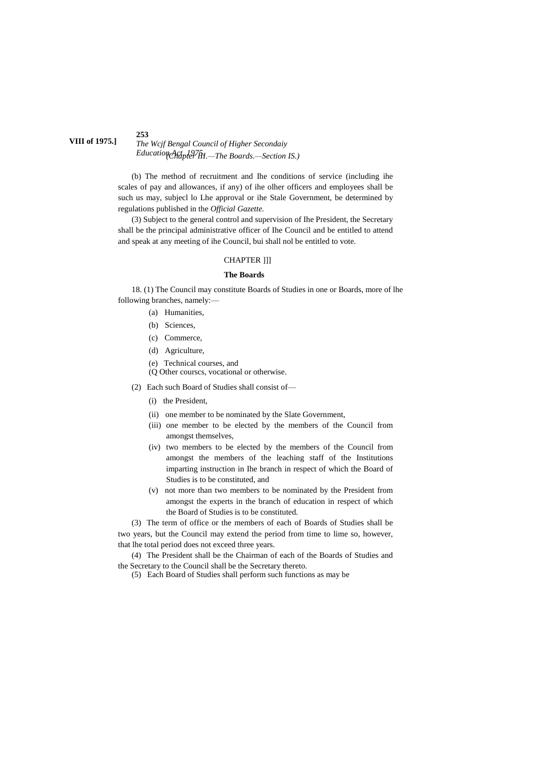#### **253** *The Wcjf Bengal Council of Higher Secondaiy Education Act, 1975. (Chapter III.—The Boards.—Section IS.)* **VIII of 1975.]**

(b) The method of recruitment and Ihe conditions of service (including ihe scales of pay and allowances, if any) of ihe olher officers and employees shall be such us may, subjecl lo Lhe approval or ihe Stale Government, be determined by regulations published in the *Official Gazette.*

(3) Subject to the general control and supervision of Ihe President, the Secretary shall be the principal administrative officer of Ihe Council and be entitled to attend and speak at any meeting of ihe Council, bui shall nol be entitled to vote.

### CHAPTER ]]]

#### **The Boards**

18. (1) The Council may constitute Boards of Studies in one or Boards, more of lhe following branches, namely:—

- (a) Humanities,
	- (b) Sciences,
	- (c) Commerce,
	- (d) Agriculture,
	- (e) Technical courses, and
	- (Q Other courscs, vocational or otherwise.
- (2) Each such Board of Studies shall consist of—
	- (i) the President,
	- (ii) one member to be nominated by the Slate Government,
	- (iii) one member to be elected by the members of the Council from amongst themselves,
	- (iv) two members to be elected by the members of the Council from amongst the members of the leaching staff of the Institutions imparting instruction in Ihe branch in respect of which the Board of Studies is to be constituted, and
	- (v) not more than two members to be nominated by the President from amongst the experts in the branch of education in respect of which the Board of Studies is to be constituted.

(3) The term of office or the members of each of Boards of Studies shall be two years, but the Council may extend the period from time to lime so, however, that lhe total period does not exceed three years.

(4) The President shall be the Chairman of each of the Boards of Studies and the Secretary to the Council shall be the Secretary thereto.

(5) Each Board of Studies shall perform such functions as may be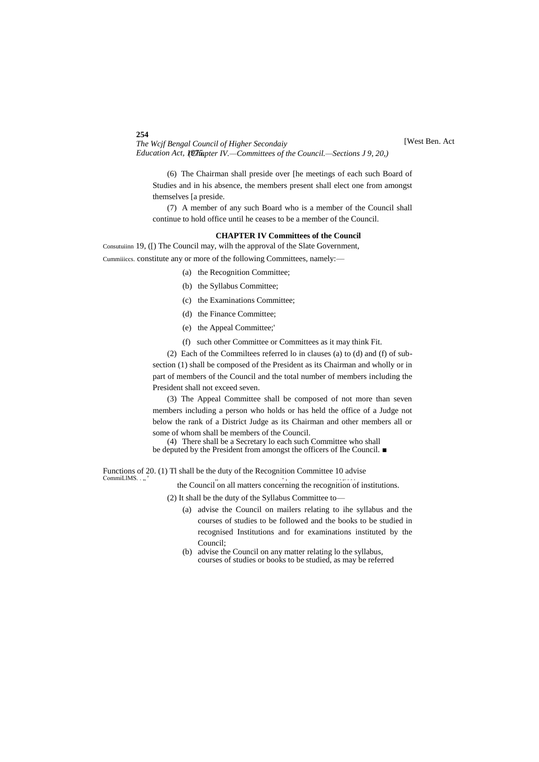[West Ben. Act

*The Wcjf Bengal Council of Higher Secondaiy* Education Act, 10Th apter IV.—Committees of the Council.—Sections J 9, 20,)

(6) The Chairman shall preside over [he meetings of each such Board of Studies and in his absence, the members present shall elect one from amongst themselves [a preside.

(7) A member of any such Board who is a member of the Council shall continue to hold office until he ceases to be a member of the Council.

#### **CHAPTER IV Committees of the Council**

Consutuiinn 19, ([) The Council may, wilh the approval of the Slate Government, Cummiiiccs. constitute any or more of the following Committees, namely:—

- (a) the Recognition Committee;
- (b) the Syllabus Committee;
- (c) the Examinations Committee;
- (d) the Finance Committee;
- (e) the Appeal Committee;'
- (f) such other Committee or Committees as it may think Fit.

(2) Each of the Commiltees referred lo in clauses (a) to (d) and (f) of subsection (1) shall be composed of the President as its Chairman and wholly or in part of members of the Council and the total number of members including the President shall not exceed seven.

(3) The Appeal Committee shall be composed of not more than seven members including a person who holds or has held the office of a Judge not below the rank of a District Judge as its Chairman and other members all or some of whom shall be members of the Council.

(4) There shall be a Secretary lo each such Committee who shall be deputed by the President from amongst the officers of Ihe Council. ■

Functions of 20. (1) TI shall be the duty of the Recognition Committee 10 advise<br>Commit LIMS....

CommiLIMS. . ,, ' the Council on all matters concerning the recognition of institutions.

(2) It shall be the duty of the Syllabus Committee to—

- (a) advise the Council on mailers relating to ihe syllabus and the courses of studies to be followed and the books to be studied in recognised Institutions and for examinations instituted by the Council;
- (b) advise the Council on any matter relating lo the syllabus, courses of studies or books to be studied, as may be referred

#### **254**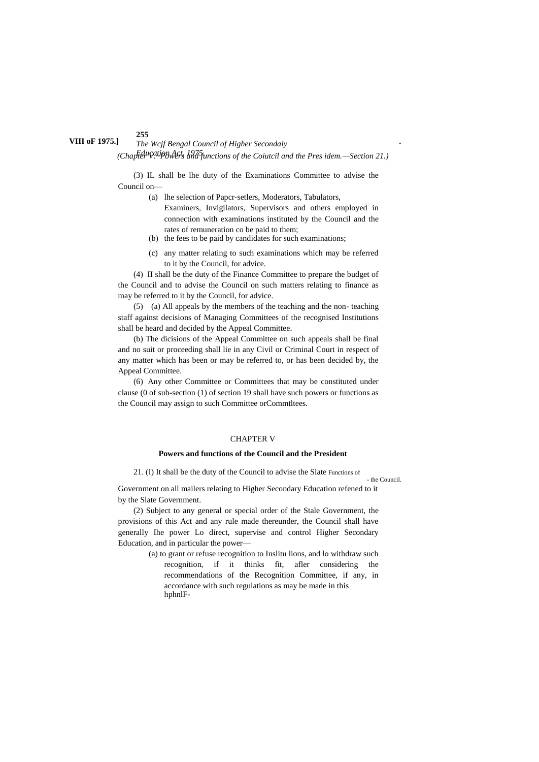# *The Wcjf Bengal Council of Higher Secondaiy* **VIII oF 1975.] .** *Education Act, 1975. (Chapter V.~Powers and functions of the Coiutcil and the Pres idem.—Section 21.)*

(3) IL shall be lhe duty of the Examinations Committee to advise the Council on—

- (a) lhe selection of Papcr-setlers, Moderators, Tabulators, Examiners, Invigilators, Supervisors and others employed in connection with examinations instituted by the Council and the rates of remuneration co be paid to them;
- (b) the fees to be paid by candidates for such examinations;
- (c) any matter relating to such examinations which may be referred to it by the Council, for advice.

(4) II shall be the duty of the Finance Committee to prepare the budget of the Council and to advise the Council on such matters relating to finance as may be referred to it by the Council, for advice.

(5) (a) All appeals by the members of the teaching and the non- teaching staff against decisions of Managing Committees of the recognised Institutions shall be heard and decided by the Appeal Committee.

(b) The dicisions of the Appeal Committee on such appeals shall be final and no suit or proceeding shall lie in any Civil or Criminal Court in respect of any matter which has been or may be referred to, or has been decided by, the Appeal Committee.

(6) Any other Committee or Committees that may be constituted under clause (0 of sub-section (1) of section 19 shall have such powers or functions as the Council may assign to such Committee orCommtltees.

#### CHAPTER V

#### **Powers and functions of the Council and the President**

21. (I) It shall be the duty of the Council to advise the Slate Functions of

- the Council. Government on all mailers relating to Higher Secondary Education refened to it by the Slate Government.

(2) Subject to any general or special order of the Stale Government, the provisions of this Act and any rule made thereunder, the Council shall have generally Ihe power Lo direct, supervise and control Higher Secondary Education, and in particular the power—

> (a) to grant or refuse recognition to Inslitu lions, and lo withdraw such recognition, if it thinks fit, afler considering the recommendations of the Recognition Committee, if any, in accordance with such regulations as may be made in this hphnlF-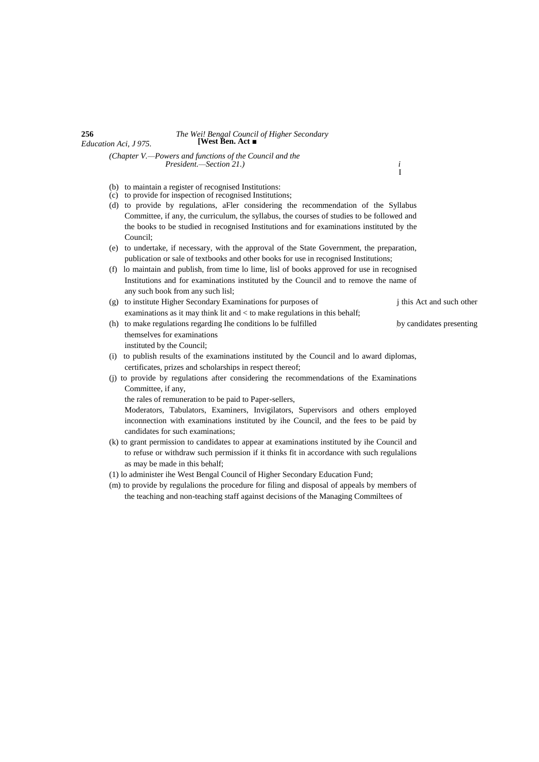# **256** *The Wei! Bengal Council of Higher Secondary Education Aci, J 975.* **[West Ben. Act ■**

*(Chapter V.—Powers and functions of the Council and the President.—Section 21.) i*

 $^i_{\rm I}$ 

- (b) to maintain a register of recognised Institutions: (c) to provide for inspection of recognised Institutions;
- (d) to provide by regulations, aFler considering the recommendation of the Syllabus
- Committee, if any, the curriculum, the syllabus, the courses of studies to be followed and the books to be studied in recognised Institutions and for examinations instituted by the Council;
- (e) to undertake, if necessary, with the approval of the State Government, the preparation, publication or sale of textbooks and other books for use in recognised Institutions;
- (f) lo maintain and publish, from time lo lime, lisl of books approved for use in recognised Institutions and for examinations instituted by the Council and to remove the name of any such book from any such lisl;
- (g) to institute Higher Secondary Examinations for purposes of j this Act and such other examinations as it may think lit and < to make regulations in this behalf;
- (h) to make regulations regarding Ihe conditions lo be fulfilled **<sup>j</sup>**by candidates presenting themselves for examinations instituted by the Council;
- (i) to publish results of the examinations instituted by the Council and lo award diplomas, certificates, prizes and scholarships in respect thereof;
- (j) to provide by regulations after considering the recommendations of the Examinations Committee, if any,

the rales of remuneration to be paid to Paper-sellers,

Moderators, Tabulators, Examiners, Invigilators, Supervisors and others employed inconnection with examinations instituted by ihe Council, and the fees to be paid by candidates for such examinations;

- (k) to grant permission to candidates to appear at examinations instituted by ihe Council and to refuse or withdraw such permission if it thinks fit in accordance with such regulalions as may be made in this behalf;
- (1) lo administer ihe West Bengal Council of Higher Secondary Education Fund;
- (m) to provide by regulalions the procedure for filing and disposal of appeals by members of the teaching and non-teaching staff against decisions of the Managing Commiltees of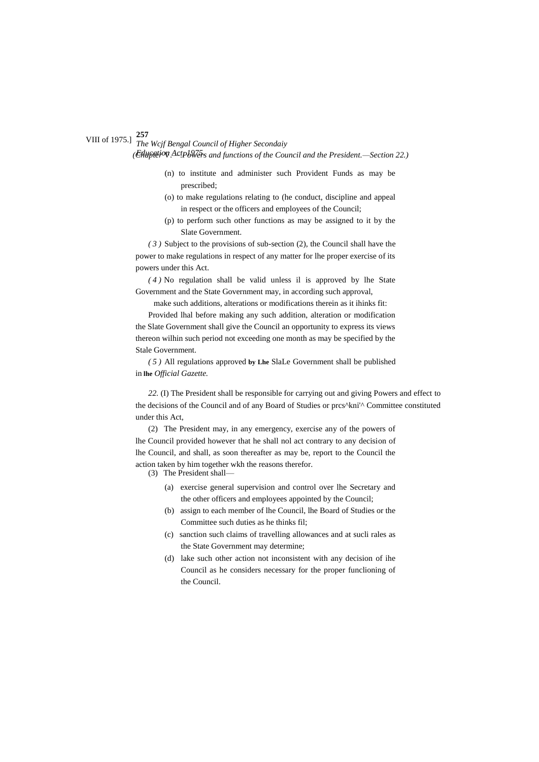# *The Wcjf Bengal Council of Higher Secondaiy* VIII of 1975.] *(Etluption ActpbVers and functions of the Council and the President.—Section 22.)*

- (n) to institute and administer such Provident Funds as may be prescribed;
- (o) to make regulations relating to (he conduct, discipline and appeal in respect or the officers and employees of the Council;
- (p) to perform such other functions as may be assigned to it by the Slate Government.

*( 3 )* Subject to the provisions of sub-section (2), the Council shall have the power to make regulations in respect of any matter for lhe proper exercise of its powers under this Act.

*( 4 )* No regulation shall be valid unless il is approved by lhe State Government and the State Government may, in according such approval,

make such additions, alterations or modifications therein as it ihinks fit:

Provided lhal before making any such addition, alteration or modification the Slate Government shall give the Council an opportunity to express its views thereon wilhin such period not exceeding one month as may be specified by the Stale Government.

*( 5 )* All regulations approved **by Lhe** SlaLe Government shall be published in **lhe** *Official Gazette.*

*22.* (I) The President shall be responsible for carrying out and giving Powers and effect to the decisions of the Council and of any Board of Studies or prcs^kni'^ Committee constituted under this Act,

(2) The President may, in any emergency, exercise any of the powers of lhe Council provided however that he shall nol act contrary to any decision of lhe Council, and shall, as soon thereafter as may be, report to the Council the action taken by him together wkh the reasons therefor.

(3) The President shall—

- (a) exercise general supervision and control over lhe Secretary and the other officers and employees appointed by the Council;
- (b) assign to each member of lhe Council, lhe Board of Studies or the Committee such duties as he thinks fil;
- (c) sanction such claims of travelling allowances and at sucli rales as the State Government may determine;
- (d) lake such other action not inconsistent with any decision of ihe Council as he considers necessary for the proper funclioning of the Council.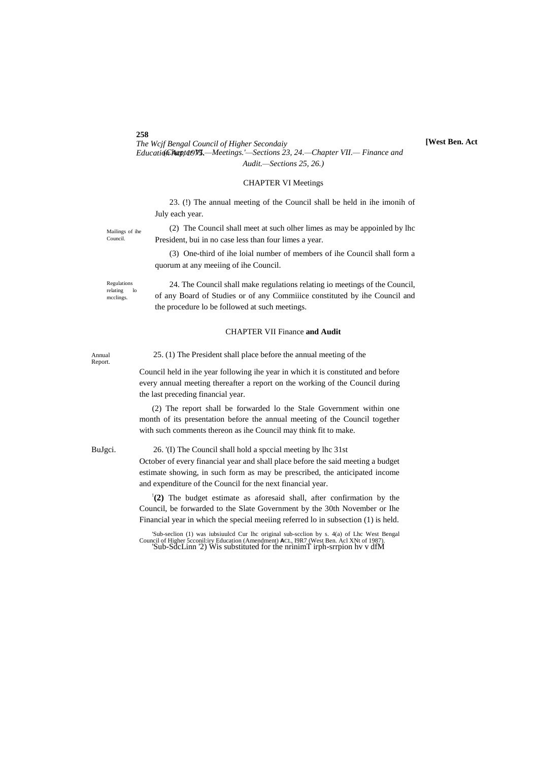*The Wcjf Bengal Council of Higher Secondaiy Education Act, 1975.* - *Meetings.'* - *Sections 23, 24.* - *Chapter VII.* - *Finance and Audit.—Sections 25, 26.)*

#### CHAPTER VI Meetings

23. (!) The annual meeting of the Council shall be held in ihe imonih of July each year.

Mailings of ihe Council.

(2) The Council shall meet at such olher limes as may be appoinled by lhc President, bui in no case less than four limes a year.

(3) One-third of ihe loial number of members of ihe Council shall form a quorum at any meeiing of ihe Council.

Regulations relating lo mcclings.

24. The Council shall make regulations relating io meetings of the Council, of any Board of Studies or of any Commiiice constituted by ihe Council and the procedure lo be followed at such meetings.

#### CHAPTER VII Finance **and Audit**

Report.

Annual 25. (1) The President shall place before the annual meeting of the

Council held in ihe year following ihe year in which it is constituted and before every annual meeting thereafter a report on the working of the Council during the last preceding financial year.

(2) The report shall be forwarded lo the Stale Government within one month of its presentation before the annual meeting of the Council together with such comments thereon as ihe Council may think fit to make.

### BuJgci. 26. '(I) The Council shall hold a spccial meeting by lhc 31st

October of every financial year and shall place before the said meeting a budget estimate showing, in such form as may be prescribed, the anticipated income and expenditure of the Council for the next financial year.

**: (2)** The budget estimate as aforesaid shall, after confirmation by the Council, be forwarded to the Slate Government by the 30th November or Ihe Financial year in which the special meeiing referred lo in subsection (1) is held.

**[West Ben. Act**

<sup>&#</sup>x27;Sub-seclion (1) was iubsiuuled Cur lhe original sub-seclion by s. 4(a) of Lhe West Bengal Council of Higher 5cconil:iry Education (Amendment) ACL, 19R7 (West Ben. Acl XNt of 1987).<br>'Sub-SdcLinn '2) Wis substituted for the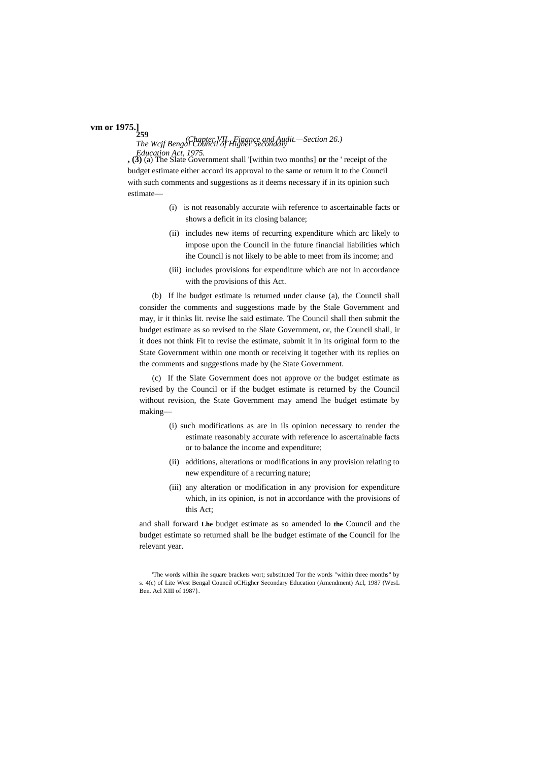# **259 vm or 1975.]**

# *The Wcjf Bengal Council of Higher Secondaiy (Chapter VII.*—*Finance and Audit.—Section 26.)*

*Education Act, 1975.* **, (3)** (a) The Slate Government shall '[within two months] **or** the ' receipt of the budget estimate either accord its approval to the same or return it to the Council with such comments and suggestions as it deems necessary if in its opinion such estimate—

- (i) is not reasonably accurate wiih reference to ascertainable facts or shows a deficit in its closing balance;
- (ii) includes new items of recurring expenditure which arc likely to impose upon the Council in the future financial liabilities which ihe Council is not likely to be able to meet from ils income; and
- (iii) includes provisions for expenditure which are not in accordance with the provisions of this Act.

(b) If lhe budget estimate is returned under clause (a), the Council shall consider the comments and suggestions made by the Stale Government and may, ir it thinks lit. revise lhe said estimate. The Council shall then submit the budget estimate as so revised to the Slate Government, or, the Council shall, ir it does not think Fit to revise the estimate, submit it in its original form to the State Government within one month or receiving it together with its replies on the comments and suggestions made by (he State Government.

(c) If the Slate Government does not approve or the budget estimate as revised by the Council or if the budget estimate is returned by the Council without revision, the State Government may amend lhe budget estimate by making—

- (i) such modifications as are in ils opinion necessary to render the estimate reasonably accurate with reference lo ascertainable facts or to balance the income and expenditure;
- (ii) additions, alterations or modifications in any provision relating to new expenditure of a recurring nature;
- (iii) any alteration or modification in any provision for expenditure which, in its opinion, is not in accordance with the provisions of this Act;

and shall forward **Lhe** budget estimate as so amended lo **the** Council and the budget estimate so returned shall be lhe budget estimate of **the** Council for lhe relevant year.

<sup>&#</sup>x27;The words wilhin ihe square brackets wort; substituted Tor the words "within three months" by s. 4(c) of Lite West Bengal Council oCHighcr Secondary Education (Amendment) Acl, 1987 (WesL Ben. Acl XIII of 1987}.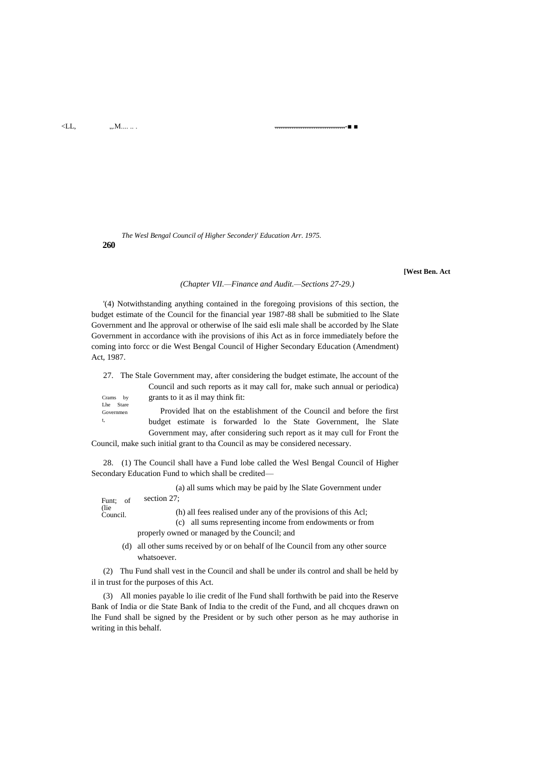$<$ LL,  $, M...$ 

#### ÷.

The Wesl Bengal Council of Higher Seconder)' Education Arr. 1975. 260

#### [West Ben. Act

#### (Chapter VII.-Finance and Audit.-Sections 27-29.)

'(4) Notwithstanding anything contained in the foregoing provisions of this section, the budget estimate of the Council for the financial year 1987-88 shall be submitted to lhe Slate Government and lhe approval or otherwise of lhe said esli male shall be accorded by lhe Slate Government in accordance with ihe provisions of ihis Act as in force immediately before the coming into force or die West Bengal Council of Higher Secondary Education (Amendment) Act, 1987.

|                        | 27. The Stale Government may, after considering the budget estimate, the account of the |  |  |  |  |  |  |                                                                             |  |  |
|------------------------|-----------------------------------------------------------------------------------------|--|--|--|--|--|--|-----------------------------------------------------------------------------|--|--|
|                        |                                                                                         |  |  |  |  |  |  | Council and such reports as it may call for, make such annual or periodica) |  |  |
| Crams by               | grants to it as il may think fit:                                                       |  |  |  |  |  |  |                                                                             |  |  |
| Lhe Stare<br>Governmen |                                                                                         |  |  |  |  |  |  | Provided lhat on the establishment of the Council and before the first      |  |  |
| t,                     |                                                                                         |  |  |  |  |  |  | budget estimate is forwarded lo the State Government, lhe Slate             |  |  |
|                        |                                                                                         |  |  |  |  |  |  | Government may, after considering such report as it may cull for Front the  |  |  |

Council, make such initial grant to tha Council as may be considered necessary.

28. (1) The Council shall have a Fund lobe called the Wesl Bengal Council of Higher Secondary Education Fund to which shall be credited-

|                   | (a) all sums which may be paid by lhe Slate Government under                                                               |
|-------------------|----------------------------------------------------------------------------------------------------------------------------|
| Funt; of          | section 27:                                                                                                                |
| (lie)<br>Council. | (h) all fees realised under any of the provisions of this Acl;<br>(c) all sums representing income from endowments or from |
|                   | properly owned or managed by the Council; and                                                                              |
|                   |                                                                                                                            |

(d) all other sums received by or on behalf of lhe Council from any other source whatsoever.

(2) Thu Fund shall vest in the Council and shall be under ils control and shall be held by il in trust for the purposes of this Act.

(3) All monies payable lo ilie credit of lhe Fund shall forthwith be paid into the Reserve Bank of India or die State Bank of India to the credit of the Fund, and all chcques drawn on lhe Fund shall be signed by the President or by such other person as he may authorise in writing in this behalf.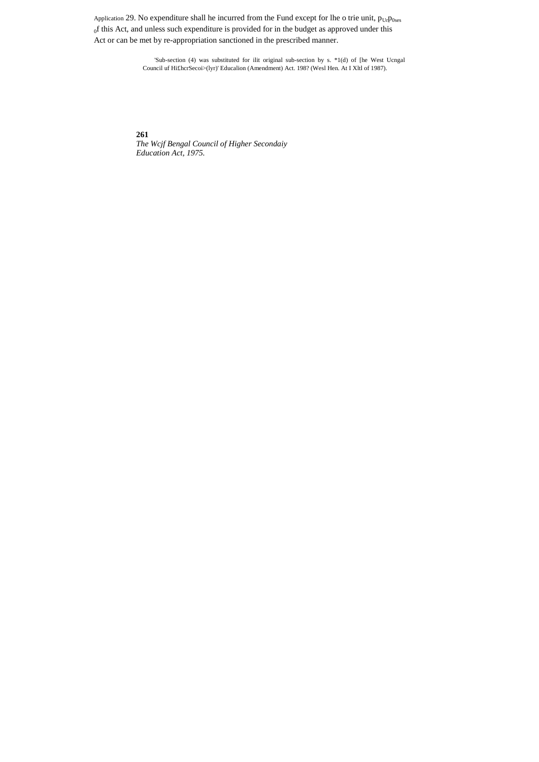Application 29. No expenditure shall he incurred from the Fund except for lhe o trie unit,  $p_{Ur}p_{0ses}$ of this Act, and unless such expenditure is provided for in the budget as approved under this Act or can be met by re-appropriation sanctioned in the prescribed manner.

> 'Sub-section (4) was substituted for ilit original sub-section by s. \*1(d) of [he West Ucngal Council uf Hi£hcrSecoi>(lyr)' Educalion (Amendment) Act. 198? (Wesl Hen. At I Xltl of 1987).

261 The Weif Bengal Council of Higher Secondaiy<br>Education Act, 1975.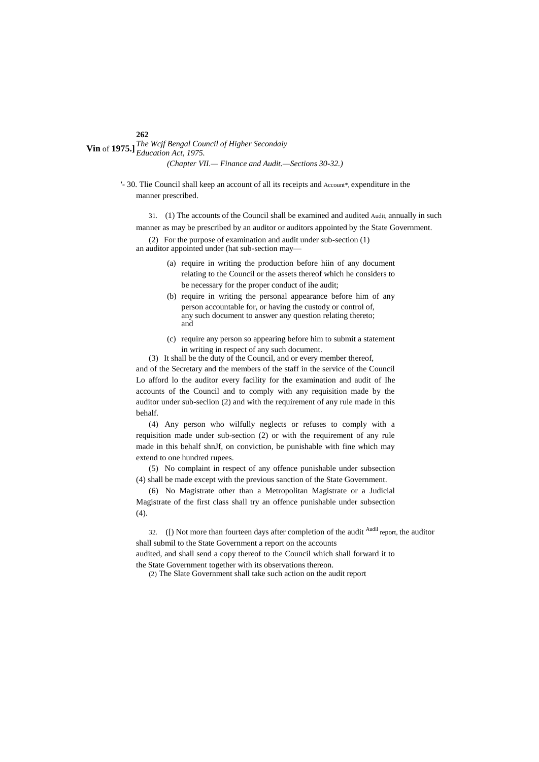**Vin** of **1975.**] *The Wcjf Bengal Council of Higher Secondaiy Education Act, 1975. (Chapter VII.— Finance and Audit.—Sections 30-32.)*

> '- 30. Tlie Council shall keep an account of all its receipts and Account\*, expenditure in the manner prescribed.

31. (1) The accounts of the Council shall be examined and audited Audit, annually in such manner as may be prescribed by an auditor or auditors appointed by the State Government.

(2) For the purpose of examination and audit under sub-section (1) an auditor appointed under (hat sub-section may—

- (a) require in writing the production before hiin of any document relating to the Council or the assets thereof which he considers to be necessary for the proper conduct of ihe audit;
- (b) require in writing the personal appearance before him of any person accountable for, or having the custody or control of, any such document to answer any question relating thereto; and
- (c) require any person so appearing before him to submit a statement in writing in respect of any such document.

(3) It shall be the duty of the Council, and or every member thereof,

and of the Secretary and the members of the staff in the service of the Council Lo afford lo the auditor every facility for the examination and audit of Ihe accounts of the Council and to comply with any requisition made by the auditor under sub-seclion (2) and with the requirement of any rule made in this behalf.

(4) Any person who wilfully neglects or refuses to comply with a requisition made under sub-section (2) or with the requirement of any rule made in this behalf shnJf, on conviction, be punishable with fine which may extend to one hundred rupees.

(5) No complaint in respect of any offence punishable under subsection (4) shall be made except with the previous sanction of the State Government.

(6) No Magistrate other than a Metropolitan Magistrate or a Judicial Magistrate of the first class shall try an offence punishable under subsection (4).

32. ([) Not more than fourteen days after completion of the audit  $\frac{\text{Audil}}{\text{H}}$  report, the auditor shall submil to the State Government a report on the accounts audited, and shall send a copy thereof to the Council which shall forward it to the State Government together with its observations thereon.

(2) The Slate Government shall take such action on the audit report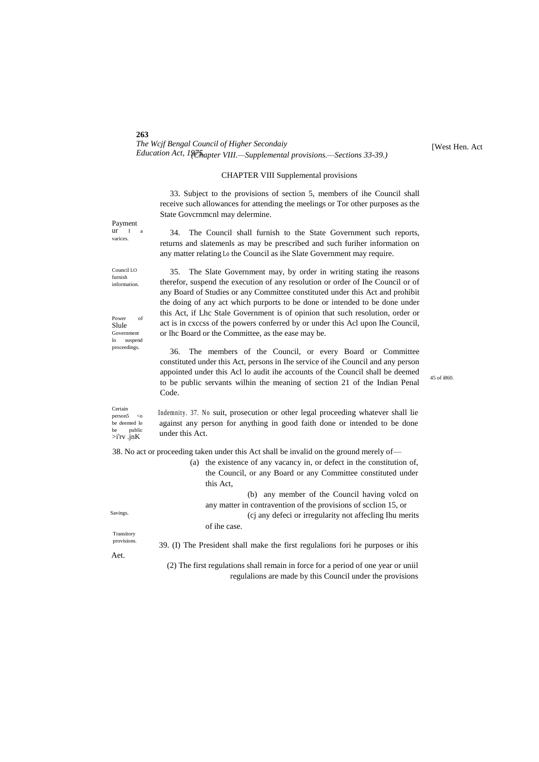| 20J                                                                                             |
|-------------------------------------------------------------------------------------------------|
| The Weif Bengal Council of Higher Secondaiy                                                     |
| Education Act, $1\sqrt[3]{\epsilon\hbar}$ apter VIII.—Supplemental provisions.—Sections 33-39.) |

[West Hen. Act

#### CHAPTER VIII Supplemental provisions

33. Subject to the provisions of section 5, members of ihe Council shall receive such allowances for attending the meelings or Tor other purposes as the State Govcrnmcnl may delermine.

Payment<br>ur I ur I a varices.

**263**

34. The Council shall furnish to the State Government such reports, returns and slatemenls as may be prescribed and such furiher information on any matter relating Lo the Council as ihe Slate Government may require.

Council LO furnish information.

Power of Slule Government lo suspend proceedings.

35. The Slate Government may, by order in writing stating ihe reasons therefor, suspend the execution of any resolution or order of Ihe Council or of any Board of Studies or any Committee constituted under this Act and prohibit the doing of any act which purports to be done or intended to be done under this Act, if Lhc Stale Government is of opinion that such resolution, order or act is in cxccss of the powers conferred by or under this Acl upon Ihe Council, or lhc Board or the Committee, as the ease may be.

36. The members of the Council, or every Board or Committee constituted under this Act, persons in Ihe service of ihe Council and any person appointed under this Acl lo audit ihe accounts of the Council shall be deemed to be public servants wilhin the meaning of section 21 of the Indian Penal Code.

45 of i860.

Certain person5 <c be deemed lo be public >i'rv .jnK Indemnity. 37. No suit, prosecution or other legal proceeding whatever shall lie against any person for anything in good faith done or intended to be done under this Act.

38. No act or proceeding taken under this Act shall be invalid on the ground merely of—

|                           | (a) | the existence of any vacancy in, or defect in the constitution of,              |
|---------------------------|-----|---------------------------------------------------------------------------------|
|                           |     | the Council, or any Board or any Committee constituted under                    |
|                           |     | this Act.                                                                       |
|                           |     | any member of the Council having volcd on<br>(b)                                |
|                           |     | any matter in contravention of the provisions of section 15, or                 |
| Savings.                  |     | (c) any defect or irregularity not affecting thu merits                         |
|                           |     | of ihe case.                                                                    |
| Transitory<br>provisions. |     |                                                                                 |
|                           |     | 39. (I) The President shall make the first regulations for the purposes or ihis |
| Aet.                      |     |                                                                                 |

(2) The first regulations shall remain in force for a period of one year or uniil regulalions are made by this Council under the provisions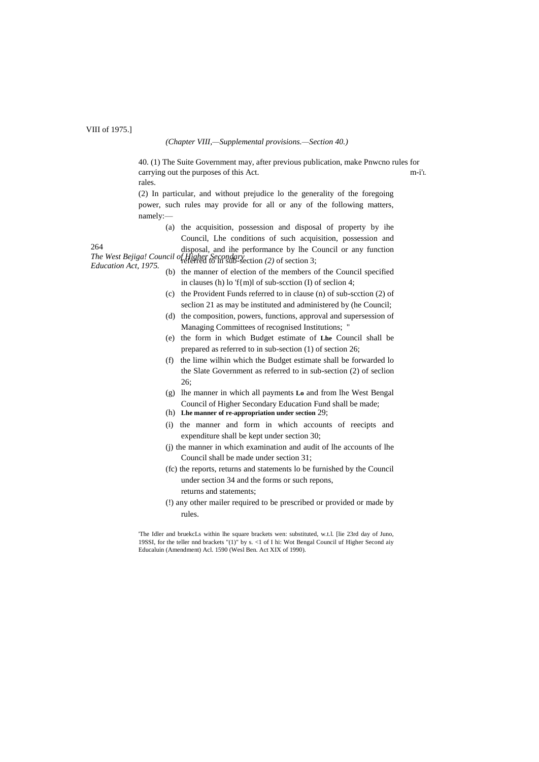#### VIII of 1975.]

#### *(Chapter VIII,—Supplemental provisions.—Section 40.)*

40. (1) The Suite Government may, after previous publication, make Pnwcno rules for carrying out the purposes of this Act. m-i'<sup>L</sup> rales.

(2) In particular, and without prejudice lo the generality of the foregoing power, such rules may provide for all or any of the following matters, namely:—

(a) the acquisition, possession and disposal of property by ihe Council, Lhe conditions of such acquisition, possession and

264

*The West Bejiga! Council of Higher Secondary* referred to in sub-section *(2)* of section 3; *Education Act, 1975.* disposal, and ihe performance by lhe Council or any function

- (b) the manner of election of the members of the Council specified in clauses (h) lo 'f{m)l of sub-scction (I) of seclion 4;
- (c) the Provident Funds referred to in clause (n) of sub-scction (2) of seclion 21 as may be instituted and administered by (he Council;
- (d) the composition, powers, functions, approval and supersession of Managing Committees of recognised Institutions; "
- (e) the form in which Budget estimate of **Lhe** Council shall be prepared as referred to in sub-section (1) of section 26;
- (f) the lime wilhin which the Budget estimate shall be forwarded lo the Slate Government as referred to in sub-section (2) of seclion 26;
- (g) lhe manner in which all payments **Lo** and from lhe West Bengal Council of Higher Secondary Education Fund shall be made;
- (h) **Lhe manner of re-appropriation under section** 29;
- (i) the manner and form in which accounts of reecipts and expenditure shall be kept under section 30;
- (j) the manner in which examination and audit of lhe accounts of lhe Council shall be made under section 31;
- (fc) the reports, returns and statements lo be furnished by the Council under section 34 and the forms or such repons, returns and statements;
- (!) any other mailer required to be prescribed or provided or made by rules.

'The Idler and bruekcLs within lhe square brackets wen: substituted, w.t.l. [lie 23rd day of Juno, 19SSI, for the teller nnd brackets "(1)" by s. <1 of I hi: Wot Bengal Council uf Higher Second aiy Educaluin (Amendment) Acl. 1590 (Wesl Ben. Act XIX of 1990).